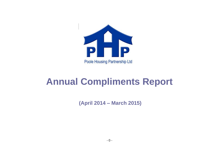

## **Annual Compliments Report**

**(April 2014 – March 2015)**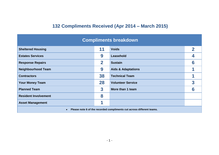## **132 Compliments Received (Apr 2014 – March 2015)**

| <b>Compliments breakdown</b>                                          |              |                               |   |  |
|-----------------------------------------------------------------------|--------------|-------------------------------|---|--|
| <b>Sheltered Housing</b>                                              | 11           | <b>Voids</b>                  |   |  |
| <b>Estates Services</b>                                               | 9            | <b>Leasehold</b>              |   |  |
| <b>Response Repairs</b>                                               | $\mathbf{2}$ | <b>Sustain</b>                | 6 |  |
| <b>Neighbourhood Team</b>                                             | 9            | <b>Aids &amp; Adaptations</b> |   |  |
| <b>Contractors</b>                                                    | 38           | <b>Technical Team</b>         |   |  |
| <b>Your Money Team</b>                                                | 28           | <b>Volunteer Service</b>      | 3 |  |
| <b>Planned Team</b>                                                   | 3            | More than 1 team              |   |  |
| <b>Resident Involvement</b>                                           | 8            |                               |   |  |
| <b>Asset Management</b>                                               |              |                               |   |  |
| Please note 6 of the recorded compliments cut across different teams. |              |                               |   |  |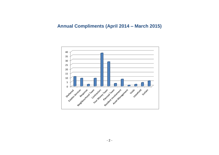## **Annual Compliments (April 2014 – March 2015)**

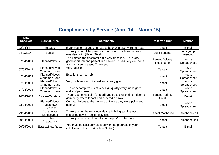## **Compliments by Service (April 14 – March 15)**

| <b>Date</b><br><b>Received</b> | <b>Service Area</b>                            | <b>Comments</b>                                                                                                                                                  | <b>Received from</b>                | <b>Method</b>               |
|--------------------------------|------------------------------------------------|------------------------------------------------------------------------------------------------------------------------------------------------------------------|-------------------------------------|-----------------------------|
| 02/04/14                       | <b>Estates</b>                                 | thank you for resurfacing road at back of property Turlin Road                                                                                                   | Tenant                              | E-mail                      |
| 04/0/2014                      | Sustain                                        | Thank you for all help and assistance and professional way it<br>was dealt with (Helen Steel)                                                                    | Joint Tenants                       | At sign up<br>meeting       |
| 07/04/2014                     | Planned/Novus                                  | The painter and decorator did a very good job. He is very<br>good at his job and perfect in all he did. It was very well done<br>and I am very pleased Thank you | <b>Tenant Dolbery</b><br>Road North | <b>Novus</b><br>Spreadsheet |
| 07/04/2014                     | Planned/Novus<br>Cinnamon Lane                 | Very satisfied                                                                                                                                                   | Tenant                              | <b>Novus</b><br>Spreadsheet |
| 07/04/2014                     | <b>Planned/Novus</b><br>Cinnamon Lane          | Excellent, perfect job                                                                                                                                           | Tenant                              | <b>Novus</b><br>Spreadsheet |
| 07/04/2014                     | Planned/Novus<br>Cinnamon Lane                 | Very professional. Stairwell work, very good                                                                                                                     | Tenant                              | <b>Novus</b><br>Spreadsheet |
| 07/04/2014                     | Planned/Novus<br>Cinnamon Lane                 | The work completed is of very high quality (very make good<br>make of paint used)                                                                                | Tenant                              | <b>Novus</b><br>Spreadsheet |
| 10/04/2014                     | Estates/Caretaker                              | Thank you to Malcolm for a brilliant job taking chain off door to<br>gain entry where tenant had suffered a stroke                                               | <b>Tenant Rodney</b><br>Court       | E-mail                      |
| 23/04/2014                     | <b>Planned/Novus</b><br>Puddletown<br>Crescent | Congratulations to the workers of Novus they were polite and<br>helpful                                                                                          | Tenant                              | <b>Novus</b><br>Spreadsheet |
| 23/04/2014                     | Continental<br>Landscapes                      | Thank you for the work outside the building, putting wood<br>chippings down it looks really nice                                                                 | <b>Tenant Malthouse</b>             | Telephone call              |
| 30/04/2014                     | <b>Disabled</b><br>Adaptations                 | Thank you very much for all your help (Viv Callendar)                                                                                                            | Tenant                              | Telephone call              |
| 06/05/2014                     | <b>Estates/New Roots</b>                       | You must be justifiably pleased with the progress of your<br>initiative and hard work (Clare Sutton)                                                             | Tenant                              | E-mail                      |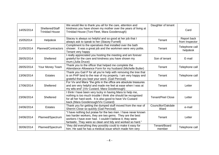| 14/05/2014 | Sheltered/Staff<br><b>Trinidad House</b> | We would like to thank you all for the care, attention and<br>kindness you have shown my mother over the years of living at<br>Trinidad House (Toni Fleet, Mara Goodenough)                                                                            | Daughter of tenant         | Card                          |
|------------|------------------------------------------|--------------------------------------------------------------------------------------------------------------------------------------------------------------------------------------------------------------------------------------------------------|----------------------------|-------------------------------|
| 15/052014  | Helpdesk                                 | Stacey is always so helpful and so good at her job that I<br>always ask to speak to her (Stacey Furnell)                                                                                                                                               | Tenant                     | Report back<br>from Inspector |
| 21/05/2014 | Planned/Contractors                      | Compliment to the operatives that installed over the bath<br>shower. It was a great job and the workmen were very polite.<br>Tenant very happy                                                                                                         | Tenant                     | Telephone call<br>helpdesk    |
| 28/05/2014 | Sheltered                                | I really appreciated you hosting the meeting and am forever<br>grateful for the care and kindness you have shown my<br>mum. (Julia Druce)                                                                                                              | Son of tenant              | E-mail                        |
| 28/05/2014 | Your Money Team                          | Thank you to the officer that helped me complete the<br>Attendance Allowance Form for my husband (Michelle Butler)                                                                                                                                     | Tenant                     | Telephone call                |
| 13/06/2014 | <b>Estates</b>                           | Thank you Gail P for all you're help with removing the tree that<br>is on PHP land to the rear of my property. I am very happy and<br>grateful that you kept your word. (Gail Percival)                                                                | Tenant                     | Telephone call                |
| 17/06/2014 | Sheltered                                | For Viv and Mara "the girls in the office are absolute treasures<br>and are very helpful and made me feel at ease when I was at<br>my wits end".(Viv Custard, Mara Goodenough)                                                                         | Tenant                     | Letter                        |
| 23/06/2014 | Sheltered                                | I think I have been very lucky in having Mara to help me,<br>nothing is too much trouble I think she should be recognised<br>for all her hard work. It is also good to have Viv Custard<br>back.(Mara Goodenough/Viv Custard)                          | <b>Tenant/Peel Close</b>   | Letter                        |
| 24/06/2014 | <b>Estates</b>                           | Thank you for getting the dumped stuff moved from the rear of<br>Sherrin Close so quickly (Gail Percival)                                                                                                                                              | Councillor/Oakdale<br>Ward | e-mail                        |
| 24/06/2014 | Planned/Spectrum                         | "I have nothing but praise for the two men. I have never known<br>two harder workers, they are two gems. They are the best<br>workers I have ever had. I couldn't believe it, they were<br>fantastic. They were so clean and tidy and worked so hard." | Tenant                     | Letter                        |
| 30/06/2014 | Planned/Spectrum                         | "they did everything they possibly could to make it easy for<br>him. He said he has a medical issue which made him very                                                                                                                                | Tenant/Board<br>member     | Telephone call                |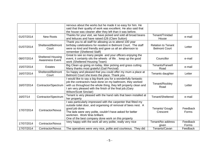|            |                                                    | nervous about the works but he made it so easy for him. He<br>said that their quality of work was excellent. He also said that<br>the house was cleaner after they left than it was before.                                                                                                           |                                                   |                   |
|------------|----------------------------------------------------|-------------------------------------------------------------------------------------------------------------------------------------------------------------------------------------------------------------------------------------------------------------------------------------------------------|---------------------------------------------------|-------------------|
| 01/07/2014 | <b>New Roots</b>                                   | Thanks for your visit, we have picked and sold all broad beans<br>and lettuces and have raised £26 (Clare Sutton)                                                                                                                                                                                     | Tenant/Trinidad<br>House                          | e-mail            |
| 01/07/2014 | Sheltered/Belmont<br>Court                         | Thank you to all staff for allowing us to attend 100 year<br>birthday celebrations for resident in Belmont Court. The staff<br>were so kind and friendly and gave us all an afternoon to<br>remember (Sheltered Staff)                                                                                | <b>Relation to Tenant</b><br><b>Belmont Court</b> | Letter            |
| 08/07/2014 | <b>Sheltered Housing</b><br><b>Awareness Event</b> | Great to see so many people and your officers enjoying the<br>event, it certainly oils the wheels of life. . keep up the good<br>work (Sheltered Housing Team)                                                                                                                                        | Councillor                                        | e-mail            |
| 15/07/2014 | <b>Estates</b>                                     | Big Clean up going on today, litter picking and grass cutting<br>Many thanks most grateful (Gail Percival)                                                                                                                                                                                            | Tenants/Farwell<br>Road                           | e-mail            |
| 16/07/2014 | Sheltered/Belmont<br>Court                         | So happy and pleased that you could offer my mum a place at<br>Belmont Court she loves the place. Thank you                                                                                                                                                                                           | Tenants daughter                                  | Letter            |
| 16/07/2014 | Contractor/Spectrum                                | I would like to say a big thank you for a wonderfully fantastic<br>job the contractors have done on my bathroom, they worked<br>with us throughout the whole thing, they left property clean and<br>I am very pleased with the finish of the final job. (Gary<br>Wilson/Scott Sinclair)               | Tenant/Rockley<br>Road                            | Letter            |
| 16/07/14   | Contractor/Spectrum                                | Tenant is very pleased with the hand rails that been installed at<br>her property                                                                                                                                                                                                                     | Tenant/Sheltered                                  | e-mail            |
| 17/07/2014 | Contractor/Novus                                   | I was particularly impressed with the carpenter that fitted my<br>outside toilet door, and organising of removal of bees nest. A<br>good job done.<br>The lads were very polite, couldn't have asked for better<br>workmen. Work Was brilliant.<br>One of the best company done work on this property | Tenants/ Gough<br>Crescent                        | Feedback<br>Forms |
| 17/07/2014 | <b>Contractor/Novus</b>                            | Very happy with the work all very polite, really very nice                                                                                                                                                                                                                                            | Tenant/No address<br>given                        | Feedback<br>Forms |
| 17/07/2014 | Contractor/Novus                                   | The operatives were very nice, polite and courteous. They did                                                                                                                                                                                                                                         | Tenants/Cavan                                     | Feedback          |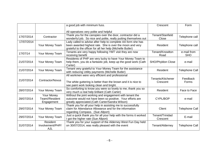|            |                                                   | a good job with minimum fuss.                                                                                                                                                          | Crescent                      | Form                      |
|------------|---------------------------------------------------|----------------------------------------------------------------------------------------------------------------------------------------------------------------------------------------|-------------------------------|---------------------------|
|            |                                                   | All operatives very polite and helpful                                                                                                                                                 |                               |                           |
| 17/07/2014 | Contractor                                        | Thank you for the canopies over the door, contractor did a<br>wonderful job. So nice and polite, really putting themselves out                                                         | Tenant/Stanfield<br>Close     | Telephone call            |
| 17/07/2014 | Your Money Team                                   | Lady called to advise after help to complete AA form she has<br>been awarded highest rate. She is over the moon and very<br>grateful to the officer for all her help (Michelle Butler) | Resident                      | Telephone call            |
| 17/07/14   | Your Money Team                                   | Tenants are very happy following YMT visit they are now<br>receiving benefit                                                                                                           | Tenant/Knowlton<br>Road       | e-mail from<br><b>SHO</b> |
| 21/07/2014 | Your Money Team                                   | Residents of PHP are very lucky to have Your Money Team to<br>help them, you do a fantastic job, keep up the good work (Cath<br>Carter)                                                | SHO/Phyldon Close             | e-mail                    |
| 21/07/2014 | Your Money Team                                   | Tenant very grateful to Your Money Team for the assistance<br>with reducing Utility payments (Michelle Butler)                                                                         | Resident                      | <b>Telephone Call</b>     |
| 21/07/2014 | Contractor/Novus                                  | All workmen were very efficient and professional<br>The white guttering is better than the brown and it is nice to<br>see paint work looking clean and bright.                         | Tenants/Kitchener<br>Crescent | Feedback<br>Forms         |
| 28/07/2014 | Your Money Team                                   | So comforting to know you were so lovely to me, thank you so<br>very much a real help brilliant (Cath Carter)                                                                          | Resident                      | Face to Face              |
| 28/07/2014 | <b>Your Money</b><br>Team//Resident<br>Engagement | Without the joint working and engagement with tenant the<br>outcome would not have been so positive. Your efforts are<br>greatly appreciated. (Cath Carter/Sandra Wilson)              | CYPL/BOP                      | e-mail                    |
| 29/07/2014 | Your Money Team                                   | Thank you for all your help in assisting me to successfully<br>claim for Attendance Allowance and for the information<br>regarding Compass. (Sue Allport)                              | Client                        | <b>Telephone Call</b>     |
| 29/07/2014 | Your Money Team                                   | Just a quick thank you for all your help with the forms it worked<br>I got the higher rate (Sue Allport)                                                                               | Tenant/Trinidad<br>Crescent   | E-mail                    |
| 31/07/2014 | Resident<br>Involvement/PHP/<br>AJL               | Thank you for your support of the Alderney West Fun Day held<br>on 30/07/2014, was really pleased with the event                                                                       | Tenant/Alderney               | <b>Telephone Call</b>     |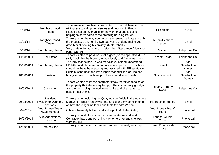| 01/08/14   | Neighbourhood<br>Team                      | Team member has been commented on her helpfulness, her<br>willingness to roll up her sleeves and get on with things.<br>Please pass on my thanks for the work that she is doing<br>helping to solve some of the pressing housing issues. | <b>HCS/BOP</b>             | e-mail                        |
|------------|--------------------------------------------|------------------------------------------------------------------------------------------------------------------------------------------------------------------------------------------------------------------------------------------|----------------------------|-------------------------------|
| 01/08/14   | Neighbourhood<br>Team                      | Thank you for the way you helped the tenant navigate through<br>the processes and for the sympathy and understanding you<br>gave him alleviating his anxiety. (Matt Roberts)                                                             | Tenant/Benbow<br>Crescent  | e-mail                        |
| 05/08/14   | Your Money Team                            | Very grateful for your help in getting her Attendance Allowance<br>(Cath Carter)                                                                                                                                                         | Resident                   | <b>Telephone Call</b>         |
| 14/08/2014 | Contractor                                 | Tenant wanted to pass on what a good job the operative did in<br>(Ady Cook) her bathroom, what a lovely and funny man he is                                                                                                              | Tenant/ Selkirk            | <b>Telephone Call</b>         |
| 15/08/2014 | Your Money Team                            | The lady that helped us was marvellous, helped understand<br>HB letter and obtain refund on under occupation tax which we<br>should not have been paying and assisted with PIP application.                                              | Tenant                     | Via<br>Satisfaction<br>survey |
| 18/08/2014 | Sustain                                    | Sustain is the best and my support manager is a darling she<br>has given me so much support thank you (Helen Steel)                                                                                                                      | Sustain client             | Via<br>Satisfaction<br>Survey |
| 19/08/2014 | Contractor                                 | Tenant wanted to let the contractor know that fitted fencing at<br>the property that she is very happy. They did a really good job<br>and the men doing the work were polite and she wanted to<br>pass on her thanks                     | Tenant/Turbary<br>Road     | <b>Telephone Call</b>         |
| 29/08/2014 | Resident<br>Involvement/Commu<br>nications | Thank you for including the Quay Advice Article in the At Home<br>Magazine. Really happy with the article and my compliments<br>on how the magazine looks and feels (Sandra Wilson)                                                      | Partnership Agency         | e-mail                        |
| 8/09/2014  | Your Money Team<br>/Staff member           | Officer absolutely brilliant and so helpful. (Michelle Butler)                                                                                                                                                                           | Your Money Team/<br>client | Phone call                    |
| 10/09/2014 | Aids Adaptations/<br>Contractor            | Thank you to staff and contractor so courteous and kind.<br>Contractor had gone out of his way to help her and she was<br>very grateful                                                                                                  | Tenant/Cynthia<br>Close    | Phone call                    |
| 12/09/2014 | Estates/Staff                              | Thank you for getting communal bin area cleaned, very happy                                                                                                                                                                              | Tenant/Simmonds<br>Close   | Phone call                    |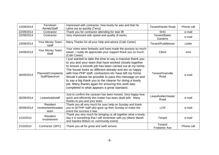| 12/09/2014 | Ferndown<br>Aerials/Staff               | Impressed with contractor, how lovely he was and that he<br>came out so quickly (Terry)                                                                                                                                                                                                                                                                                                                                                                                                                                     | <b>Tenant/Hasler Road</b>       | Phone call |
|------------|-----------------------------------------|-----------------------------------------------------------------------------------------------------------------------------------------------------------------------------------------------------------------------------------------------------------------------------------------------------------------------------------------------------------------------------------------------------------------------------------------------------------------------------------------------------------------------------|---------------------------------|------------|
| 22/09/2014 | Contractor                              | Thank you for contractor attending for stair lift                                                                                                                                                                                                                                                                                                                                                                                                                                                                           | <b>SHO</b>                      | e-mail     |
| 22/09/2014 | Contractor                              | Very impressed with speed and quality of works                                                                                                                                                                                                                                                                                                                                                                                                                                                                              | Tenant/Baiter<br>Gardens        | e-mail     |
| 23/09/2014 | Your Money Team<br>/staff               | Many Thanks for all your help and advice (Cath Carter)                                                                                                                                                                                                                                                                                                                                                                                                                                                                      | Tenant/Puddletown               | Letter     |
| 24/09/2014 | Your Money Team<br><b>Staff</b>         | Your notes were fantastic and have made the process so much<br>easier, I really do appreciate your support thank you so much.<br>(Cath Carter)                                                                                                                                                                                                                                                                                                                                                                              | Client                          | sms        |
| 26/09/2014 | Planned/Complaints<br>Staff/Spectrum    | I just wanted to take the time to say a massive thank you<br>to you and your team that have worked closely together<br>to ensure a smooth job has been carried out at my home.<br>The house looks so different already and am so happy<br>with how PHP staff, contractors etc have left my home.<br>Would it please be possible to pass this message on and<br>to say a big thank you to the cleaner for doing a lovely<br>job. Many thanks again for ensuring this work was<br>completed to what appears a great standard. | Tenant/Granville<br>Road        | e-mail     |
| 30/09/2014 | Leasehold/staff                         | Just to confirm the caravan has been moved. Very happy how<br>quick and efficiently this matter has been dealt with. Many<br>thanks to you and your team                                                                                                                                                                                                                                                                                                                                                                    | Leaseholder/Hasler<br>Road      | e-mail     |
| 30/09/2014 | Resident<br>Involvement/estates<br>team | Thank you all very much for your help on Sunday and thank<br>you to all PHP staff who gave up their Sunday to make the<br>event the success it was                                                                                                                                                                                                                                                                                                                                                                          | <b>LCR</b>                      | e-mail     |
| 1/10/2014  | Resident<br>Involvement                 | Thank you very much for bringing us all together what a lovely<br>day it is something that I will remember with joy (Marie Marsh<br>and Sandra Wilson re: community event).                                                                                                                                                                                                                                                                                                                                                 | Tenant                          | e-mail     |
| 2/10/2014  | Contractor (SPC)                        | Thank you all for great and swift service                                                                                                                                                                                                                                                                                                                                                                                                                                                                                   | Tenant/<br><b>Frobisher Ave</b> | Phone call |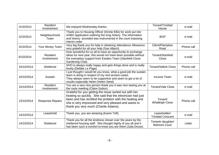| 2/10/2014  | Resident<br>Involvement | We enjoyed Wednesday thanks.                                                                                                                                                                                                                                                   | Tenant/Trinidad<br>House                  | e-mail     |
|------------|-------------------------|--------------------------------------------------------------------------------------------------------------------------------------------------------------------------------------------------------------------------------------------------------------------------------|-------------------------------------------|------------|
| 2/10/2014  | Neighbourhood<br>Team   | Thank you to Housing Officer (Kirstie Ellis) for work put into<br>ASBO application outlining the long history. The information<br>and history provided was instrumental in the court imposing<br>interim order                                                                 | <b>BOP</b>                                | e-mail     |
| 3/10/2014  | Your Money Team         | Very big thank you for help in obtaining Attendance Allowance<br>very grateful for all your help (Sue Allport).                                                                                                                                                                | Client/Plantation<br>Road                 | Phone call |
| 6/10/2014  | Resident<br>Involvement | How wonderful for us all to have an opportunity to exchange<br>ideas for next year, this would not have been possible without<br>the exemplary support from Estates Team (Stanfield Close<br>Gardening Club)                                                                   | Tenant/Stanfield<br>Close                 | e-mail     |
| 10/10/2014 | Sheltered               | SHO is always really happy and gets things done and is really<br>lovely (Debbie Le Page)                                                                                                                                                                                       | <b>Tenant/Selkirk Close</b>               | Phone call |
| 10/10/2014 | Sustain                 | I just thought I would let you know, what a good job the sustain<br>team is doing in respect of my rent arrears cases.<br>They always seem to be supportive and seem to get a lot of<br>results especially Helen (Helen Steel)                                                 | Income Team                               | e-mail     |
| 10/10/2014 | Resident<br>Involvement | You are a very nice person thank you it was nice seeing you at<br>the roots meeting (Claire Sutton)                                                                                                                                                                            | Tenant/Vale Close                         | e-mail     |
| 13/10/2014 | <b>Response Repairs</b> | Grateful for you getting the issue sorted out with her<br>heating so quickly. She said that the electrician had just<br>been and has rectified the problem with the heating and<br>she is very impressed and very pleased and wants to<br>thank you very much (Charlie Adams). | Tenant/<br><b>Whatleigh Close</b>         | Phone call |
| 14/10/2014 | Leasehold               | Thank you, you are amazing (Karen Toft).                                                                                                                                                                                                                                       | Leaseholder/<br><b>Trinidad Crescent</b>  | e-mail     |
| 14/10/2014 | Sheltered               | Thank you for all the kindness shown over the years by the<br>sheltered housing staff. She thought highly of you all and it<br>has been such a comfort to know you are there (Julia Druce).                                                                                    | Tenants daughter/<br><b>Belmont Court</b> | Letter     |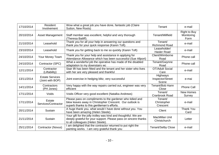| 17/10/2014 | Resident<br>Involvement                    | Wow what a great job you have done, fantastic job (Claire<br>Sutton, New Roots)                                                                                         | Tenant                                | e-mail                                    |
|------------|--------------------------------------------|-------------------------------------------------------------------------------------------------------------------------------------------------------------------------|---------------------------------------|-------------------------------------------|
| 20/10/2014 | <b>Asset Management</b>                    | Staff member was excellent, helpful and very thorough<br>(Theresa Bailiff).                                                                                             | Tenant/Millfield                      | <b>Right to Buy</b><br>Monitoring<br>Form |
| 21/10/2014 | Leasehold                                  | Thank you for all your help in answering our questions and<br>thank you for your quick response (Karen Toft).                                                           | Tenant/<br><b>Richmond Road</b>       | e-mail                                    |
| 23/10/2014 | Leasehold                                  | Thank you for getting back to me so quickly (Karen Toft)                                                                                                                | Leaseholder/<br><b>Hasler Road</b>    | e-mail                                    |
| 24/10/2014 | Your Money Team                            | Thank you for your help and assistance in applying for<br>Attendance Allowance which has been successful (Sue Allport)                                                  | Client/Wimborne<br>Road               | Phone call                                |
| 24/10/2014 | Contractor (SPC)                           | What a wonderful job the operative has made of the disabled<br>adaptation to my downstairs wc                                                                           | Tenant/Gwynne<br>Road                 | Phone call                                |
| 12/11/2014 | Contractor<br>(Liftability)                | Stair lift has been fitted and the tenant and her sister who lives<br>with her are very pleased and thankful                                                            | <b>OT/Adult Social</b><br>Care        | e-mail                                    |
| 13/11/2014 | <b>Estate Services</b><br>(Joint with BOP) | Joint exercise in hedging blitz, very successful                                                                                                                        | Highways<br>Inspector/Street<br>Scene | e-mai                                     |
| 14/11/2014 | Contractors<br>(PH Jones)                  | Very happy with the way repairs carried out, engineer was very<br>efficient                                                                                             | Tenant/Bob Hann<br>Close              | <b>Phone Call</b>                         |
| 17/11/2014 | Voids                                      | Voids Officer very good excellent (Natalka Andrews)                                                                                                                     | Tenant/<br>Cranbrook Road             | <b>New Homes</b><br>Survey                |
| 17/11/2014 | Estate<br>Services/Contractor              | Please pass on compliments to the gardener who tidied and<br>blew leaves away in Christopher Crescent. Our outlook is<br>superb thanks to this gentleman's efforts.     | Tenant/<br>Christopher<br>Crescent    | e-mail                                    |
| 20/11/2014 | Sustain                                    | A huge thank you, what would I have done without you. You<br>have been amazing (Helen Steele).                                                                          | Client                                | <b>Thank You</b><br>Card                  |
| 21/11/2014 | Sustain                                    | Your gift for the jolly trolley was kind and thoughtful. We are<br>deeply grateful for your support. Please pass on sincere thanks<br>to all colleagues (Helen Steele). | <b>MacMillan Unit</b><br>Christchurch | Letter                                    |
| 25/11/2014 | Contractor (Novus)                         | am delighted that the contractor returned to put right the<br>painting works. I am very grateful thank you                                                              | <b>Tenant/Selby Close</b>             | e-mail                                    |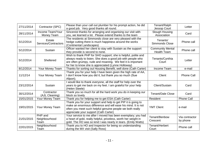| 27/11/2014 | Contractor (SPC)                 | Please than your call out plumber for his prompt action, he did<br>a good job. Very good thanks all round.                                                                                                                                         | Tenant/Ralph<br><b>Jessop Court</b>           | Letter                     |
|------------|----------------------------------|----------------------------------------------------------------------------------------------------------------------------------------------------------------------------------------------------------------------------------------------------|-----------------------------------------------|----------------------------|
| 28/11/2014 | Income Team/Your<br>Money Team   | Sincerest thanks for arranging and organising our visit with<br>you, we learned a lot. Please extend thanks to the team                                                                                                                            | Slough Housing<br>Association                 | Card                       |
| 5/12/2014  | Estate<br>Services/Contractors   | The residents at Simmonds close are very pleased with the<br>hedge cutting there is much happiness around the works<br>(Continental Landscapes)                                                                                                    | Tenants/<br><b>Simmonds Close</b>             | Phone call                 |
| 5/12/2014  | Sustain                          | Officer wanted her client to stay with Sustain as the support<br>they provide is second to none.                                                                                                                                                   | <b>Community Mental</b><br><b>Health Team</b> | Phone call                 |
| 5/12/2014  | Sheltered                        | Wish to thank PHP for SHO support; she is helpful, polite and<br>always ready to listen. She does a good job with people who<br>are often grumpy, rude and moaning. We feel it is important<br>for her to know she is appreciated (Lynne Holloway) | Tenants/Cynthia<br>Court                      | Letter                     |
| 8/12/2014  | Your Money Team                  | Thanks for sorting out Housing Benefit, well done (Cath Carter)                                                                                                                                                                                    | <b>Income Team</b>                            | e-mail                     |
| 11/12/14   | Your Money Team                  | Thank you for your help I have been given the high rate of AA,<br>I don't know how you did it, but thank you so much (Sue<br>Allport).                                                                                                             | Client                                        | <b>Phone Call</b>          |
| 23/12/2014 | Sustain                          | I would like to thank everyone, all the staff for help over the<br>years to get me back on my feet. I am grateful for your help<br>(Helen Steele)                                                                                                  | Client/Sustain                                | Card                       |
| 30/12/2014 | Contractor<br>(AJL Cleaning)     | Thank you so much for all the hard work you do in keeping our<br>block so lovely                                                                                                                                                                   | <b>Tenant/Dale Close</b>                      | Card                       |
| 15/01/2015 | Your Money Team                  | Thank you for helping me to get ESA (Cath Carter)                                                                                                                                                                                                  | Resident                                      | <b>Phone Call</b>          |
| 19/01/2015 | Your Money Team                  | Thank you for your support and help to get PIP it is going to<br>make an enormous difference and will ease his mind. It is not<br>often you meet such helpful genuine people we both really<br>appreciate your support (Cath Carter)               | <b>YMT Client</b>                             | e-mail                     |
| 21/01/2015 | PHP and<br>Neighbourhood<br>Team | Your service to me after I moved has been exemplary; you had<br>a heart of gold, really helpful, priceless, worth her weight in<br>gold. The HO was so kind I was nearly in tears. (Emily Watts)                                                   | Tenant/Benbow<br>Crescent                     | Via contractor<br>by phone |
| 22/01/2015 | Neighbourhood<br>Team            | Thank you to HO and Inspector for being so understanding<br>during the MX visit (Sally Ross)                                                                                                                                                       | Tenant/Herbert<br>Court                       | Phone call                 |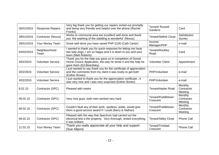| 26/01/2015 | <b>Response Repairs</b>  | Very big thank you for getting our repairs sorted out promptly<br>and being very friendly and helpful over the phone (Rachel<br>Franks)                | Tenant/ Russell<br>Gardens    | Card                                    |
|------------|--------------------------|--------------------------------------------------------------------------------------------------------------------------------------------------------|-------------------------------|-----------------------------------------|
| 28/01/2015 | Contractor (Novus)       | Works to communal area are excellent well done and thank<br>you 'the washing of the cladding is wonderful' (Novus)                                     | <b>Tenant/Selkirk Close</b>   | Satisfaction<br>Survey                  |
| 29/01/2015 | Your Money Team          | Great well done you have saved PHP £100 (Cath Carter)                                                                                                  | Income<br>Manager/PHP         | e-mail                                  |
| 03/02/2015 | Neighbourhood<br>Team    | wanted to thank you for quick response for letting me have<br>two lady dogs, I am so happy and it is down to you and your<br>team (Matt Roberts)       | Tenant/Rockley<br>Road        | Card                                    |
| 3/02/2015  | <b>Volunteer Service</b> | Thank you for the help you gave us in completion of Dorset<br>Home Choice Application, the way he wrote it and the help he<br>gave them (Ed Beardsley) | <b>Volunteer Client</b>       | Appointment                             |
| 3/02/2015  | <b>Volunteer Service</b> | I just wanted to say thank you for the certificate of appreciation<br>and the comments from my client it was lovely to get both<br>(Esther Brown)      | PHP/Volunteer                 | e-mail                                  |
| 3/02/2015  | <b>Volunteer Service</b> | I just wanted to thank you for the appreciation certificate, it<br>was very nice and I was very surprised (Esther Brown)                               | PHP/Volunteer                 | e-mail                                  |
| 9.02.15    | Contractor (SPC)         | Pleased with rewire                                                                                                                                    | <b>Tenant/Hasler Road</b>     | <b>Monthly</b><br>Contractor<br>Meeting |
| 09.02.15   | Contractor (SPC)         | Very nice guys, both men worked very hard                                                                                                              | Tenant/Puddletown<br>Crescent | Monthly<br>Contractor<br>Meeting        |
| 09.02.15   | Contractor (SPC)         | Couldn't fault any of their work, spotless, polite, would give<br>them a good service award if I could (Barry & Nathan)                                | Tenant/Puddletown<br>Crescent | <b>Monthly</b><br>Contractor<br>Meeting |
| 09.02.15   | Contractor (SPC)         | Pleased with the way that Spectrum had carried out the<br>electrical test a the property. Very thorough, tested everything,<br>it was brilliant.       | <b>Tenant/Selby Close</b>     | <b>Phone Call</b>                       |
| 11.02.15   | Your Money Team          | Thank you really appreciate all your help and support<br>(Sue Allport)                                                                                 | Tenant/Trinidad<br>Crescent   | <b>Phone Call</b>                       |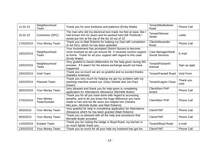| 11.02.15   | Neighbourhood<br>Team      | Thank you for your kindness and patience (Emily Watts)                                                                                                                                                                        | Tenant/Wallisdown<br>Road                    | <b>Phone Call</b> |
|------------|----------------------------|-------------------------------------------------------------------------------------------------------------------------------------------------------------------------------------------------------------------------------|----------------------------------------------|-------------------|
| 16.02.15   | Contractor (SPC)           | The man who did my electrical test made me feel at ease, like I<br>had known him for years and he worked hard (Mr Pickford) I<br>would put him at the top of the list 10 out of 10                                            | Tenant/Skinner<br><b>Street</b>              | Letter            |
| 17/02/2015 | Your Money Team            | Thank you to Matt Roberts for helping my Dad with completion<br>of AA form, which he has been awarded                                                                                                                         | Client/Alexander<br>Road                     | <b>Phone Call</b> |
| 19/02/2015 | Neighbourhood<br>Team      | Your involvement has prompted District Nurses to become<br>more involved so we can ensure Mr X receives correct support<br>at home. Thank for all your support with regard to this case<br>(Emily Watts)                      | Care Manager/Adult<br><b>Social Services</b> | E-mail            |
| 23/02/2015 | Neighbourhood<br>Team      | Very grateful to David Ulldemolins for the help given during MX<br>process. If it wasn't for his advice exchange would not have<br>happened                                                                                   | Tenant/Fitzworth<br>Avenue                   | Sign up appt.     |
| 23/02/2015 | Void Team                  | Thank you so much we are so grateful and so excited thanks<br>(Natalka Andrews)                                                                                                                                               | <b>Tenant/Farwell Road</b>                   | Void Form         |
| 24/02/2015 | <b>Planned Team</b>        | Thank you very much for helping me get my problem with my<br>washing machine sorted out. (Gary Nesbitt and Jon-Paul<br>Elwart)                                                                                                | <b>Tenant/Legion Close</b>                   | Thank you<br>card |
| 26/02/2015 | Your Money Team            | Very pleased and thank you for help given in completing<br>application for Attendance Allowance (Michelle Butler)                                                                                                             | Client/Non PHP<br>tenant                     | <b>Phone Call</b> |
| 27/02/2015 | Your Money<br>Team/Sustain | Thank you for all you have done with regard to accessing<br>benefits, and to let you know the huge difference you have<br>made to him and his life since you helped him (Sandra<br>McLaren, Michelle Butler and Matt Roberts) | Client/Non PHP                               | <b>Phone Call</b> |
| 3/03/2015  | Your Money Team            | Very grateful for help in completing application for Attendance<br>Allowance which he has been granted (Matt Roberts)                                                                                                         | Client/YMT                                   | <b>Phone Call</b> |
| 9/03/2015  | Your Money Team            | Thank you so pleased with all the help and assistance that<br>Michelle Butler provided                                                                                                                                        | Client/YMT                                   | <b>Phone Call</b> |
| 11/03/2015 | <b>Estates Team</b>        | Thank you for cutting the hedge in Boyd Road, my kitchen is<br>so much lighter thank you.                                                                                                                                     | Tenant/Boyd Road                             | e-mail            |
| 13/03/2015 | Your Money Team            | Thank you so much for all your help my husband has got his                                                                                                                                                                    | Client/YMT                                   | <b>Phone Call</b> |